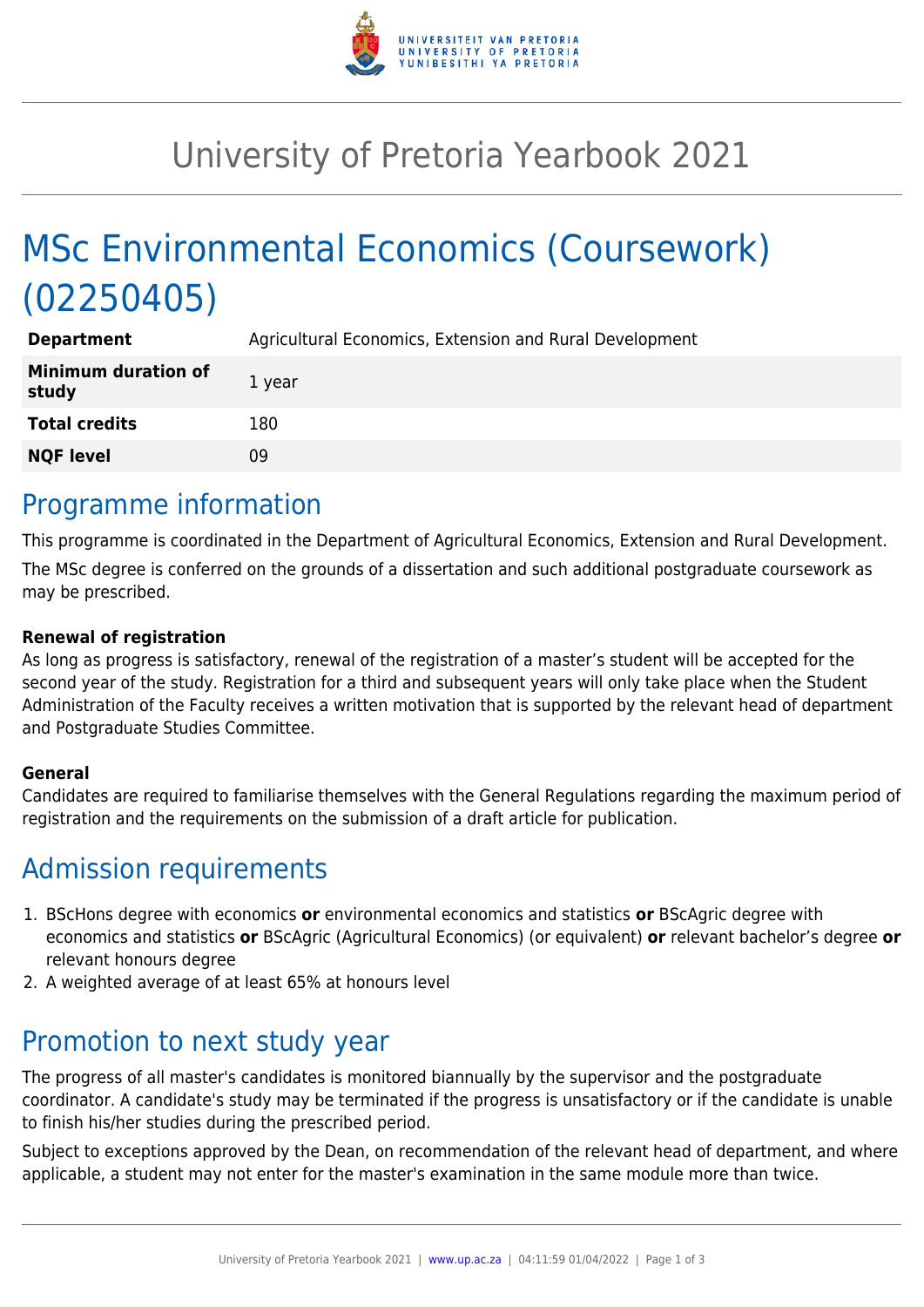

# University of Pretoria Yearbook 2021

# MSc Environmental Economics (Coursework) (02250405)

| <b>Department</b>                   | Agricultural Economics, Extension and Rural Development |
|-------------------------------------|---------------------------------------------------------|
| <b>Minimum duration of</b><br>study | 1 year                                                  |
| <b>Total credits</b>                | 180                                                     |
| <b>NQF level</b>                    | 09                                                      |

## Programme information

This programme is coordinated in the Department of Agricultural Economics, Extension and Rural Development. The MSc degree is conferred on the grounds of a dissertation and such additional postgraduate coursework as may be prescribed.

#### **Renewal of registration**

As long as progress is satisfactory, renewal of the registration of a master's student will be accepted for the second year of the study. Registration for a third and subsequent years will only take place when the Student Administration of the Faculty receives a written motivation that is supported by the relevant head of department and Postgraduate Studies Committee.

#### **General**

Candidates are required to familiarise themselves with the General Regulations regarding the maximum period of registration and the requirements on the submission of a draft article for publication.

## Admission requirements

- 1. BScHons degree with economics **or** environmental economics and statistics **or** BScAgric degree with economics and statistics **or** BScAgric (Agricultural Economics) (or equivalent) **or** relevant bachelor's degree **or** relevant honours degree
- 2. A weighted average of at least 65% at honours level

## Promotion to next study year

The progress of all master's candidates is monitored biannually by the supervisor and the postgraduate coordinator. A candidate's study may be terminated if the progress is unsatisfactory or if the candidate is unable to finish his/her studies during the prescribed period.

Subject to exceptions approved by the Dean, on recommendation of the relevant head of department, and where applicable, a student may not enter for the master's examination in the same module more than twice.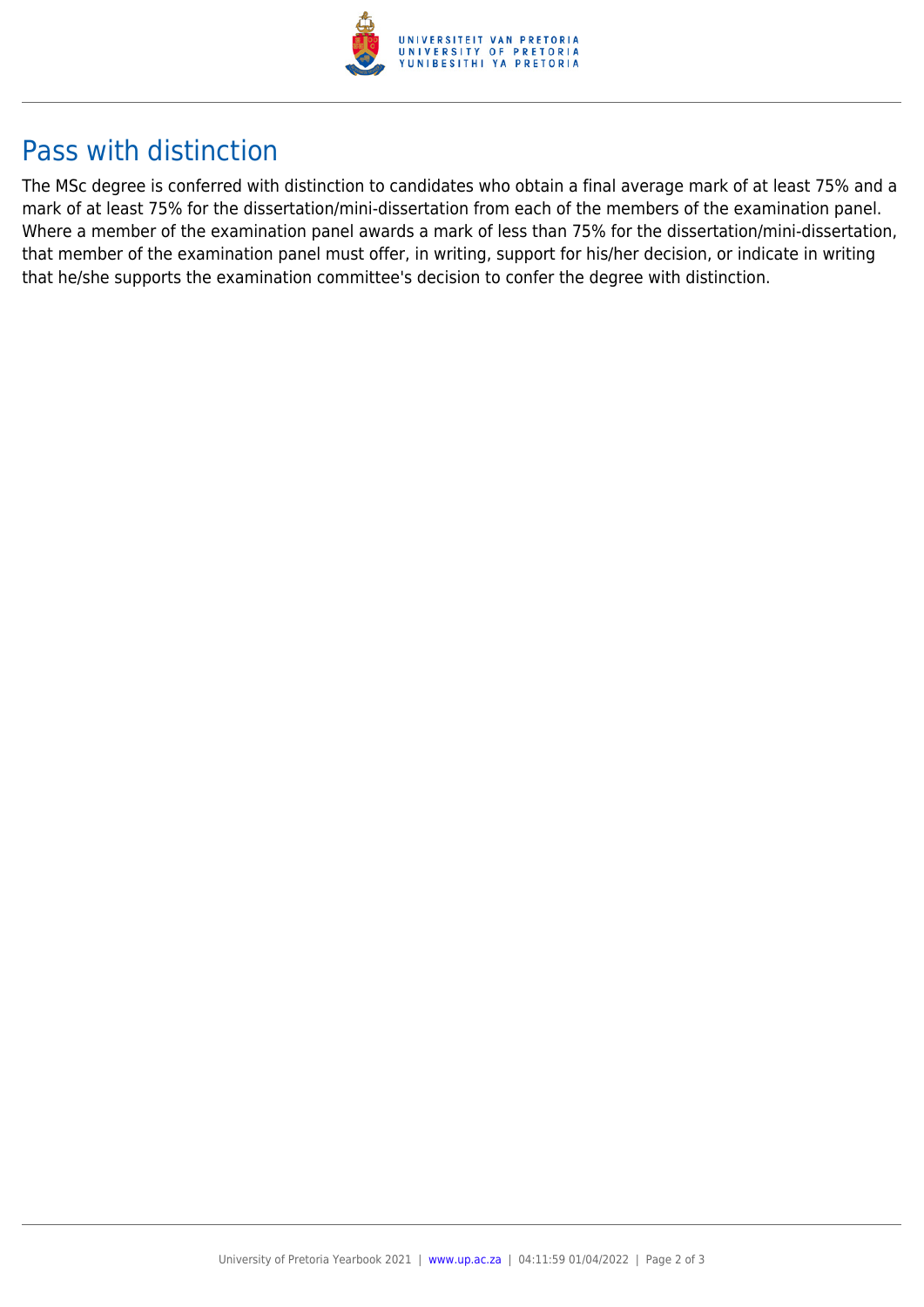

### Pass with distinction

The MSc degree is conferred with distinction to candidates who obtain a final average mark of at least 75% and a mark of at least 75% for the dissertation/mini-dissertation from each of the members of the examination panel. Where a member of the examination panel awards a mark of less than 75% for the dissertation/mini-dissertation, that member of the examination panel must offer, in writing, support for his/her decision, or indicate in writing that he/she supports the examination committee's decision to confer the degree with distinction.